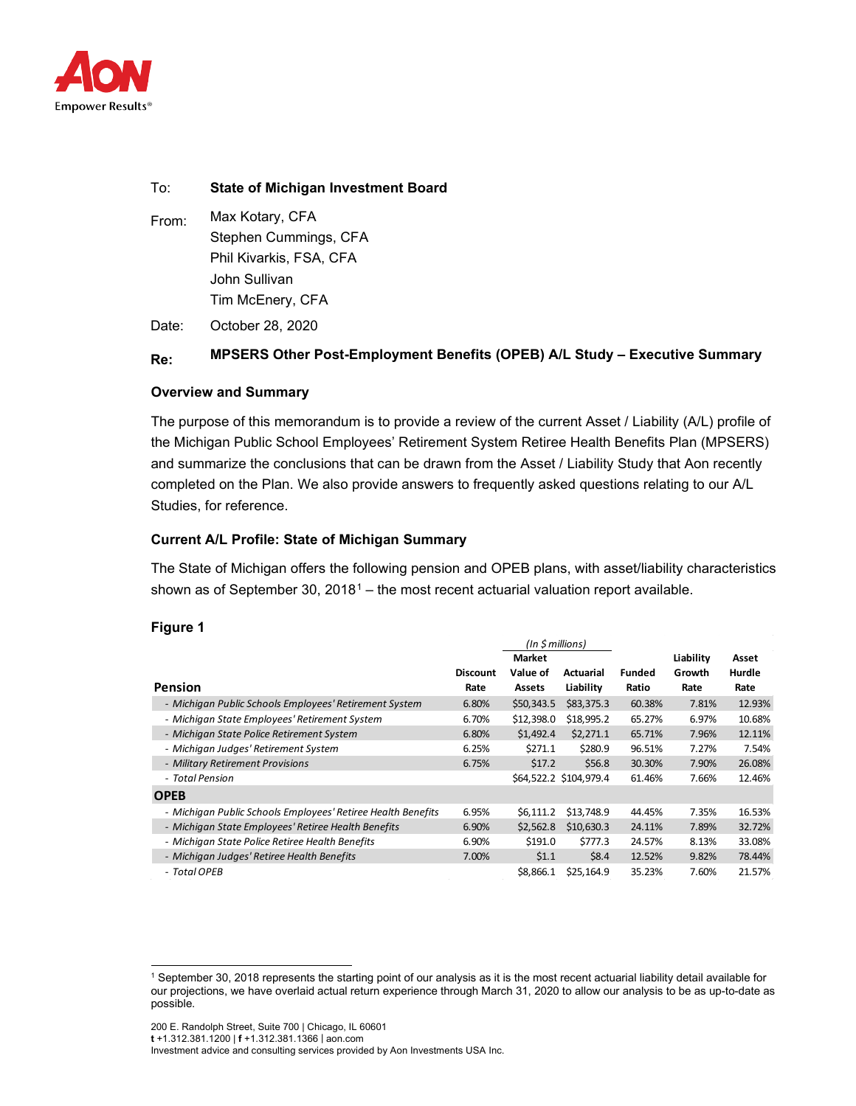

#### To: **State of Michigan Investment Board**

From: Max Kotary, CFA Stephen Cummings, CFA Phil Kivarkis, FSA, CFA John Sullivan Tim McEnery, CFA

Date: October 28, 2020

### **Re: MPSERS Other Post-Employment Benefits (OPEB) A/L Study – Executive Summary**

#### **Overview and Summary**

The purpose of this memorandum is to provide a review of the current Asset / Liability (A/L) profile of the Michigan Public School Employees' Retirement System Retiree Health Benefits Plan (MPSERS) and summarize the conclusions that can be drawn from the Asset / Liability Study that Aon recently completed on the Plan. We also provide answers to frequently asked questions relating to our A/L Studies, for reference.

#### **Current A/L Profile: State of Michigan Summary**

The State of Michigan offers the following pension and OPEB plans, with asset/liability characteristics shown as of September 30,  $2018<sup>1</sup>$  $2018<sup>1</sup>$  $2018<sup>1</sup>$  – the most recent actuarial valuation report available.

#### **Figure 1**

|                                                              | $(In Sim)$      |               |                        |               |           |        |
|--------------------------------------------------------------|-----------------|---------------|------------------------|---------------|-----------|--------|
|                                                              |                 | <b>Market</b> |                        |               | Liability | Asset  |
|                                                              | <b>Discount</b> | Value of      | <b>Actuarial</b>       | <b>Funded</b> | Growth    | Hurdle |
| Pension                                                      | Rate            | <b>Assets</b> | Liability              | Ratio         | Rate      | Rate   |
| - Michigan Public Schools Employees' Retirement System       | 6.80%           | \$50,343.5    | \$83,375.3             | 60.38%        | 7.81%     | 12.93% |
| - Michigan State Employees' Retirement System                | 6.70%           | \$12,398.0    | \$18,995.2             | 65.27%        | 6.97%     | 10.68% |
| - Michigan State Police Retirement System                    | 6.80%           | \$1,492.4     | \$2,271.1              | 65.71%        | 7.96%     | 12.11% |
| - Michigan Judges' Retirement System                         | 6.25%           | \$271.1       | \$280.9                | 96.51%        | 7.27%     | 7.54%  |
| - Military Retirement Provisions                             | 6.75%           | \$17.2        | \$56.8\$               | 30.30%        | 7.90%     | 26.08% |
| - Total Pension                                              |                 |               | \$64,522.2 \$104,979.4 | 61.46%        | 7.66%     | 12.46% |
| <b>OPEB</b>                                                  |                 |               |                        |               |           |        |
| - Michigan Public Schools Employees' Retiree Health Benefits | 6.95%           | \$6,111.2     | \$13,748.9             | 44.45%        | 7.35%     | 16.53% |
| - Michigan State Employees' Retiree Health Benefits          | 6.90%           | \$2,562.8     | \$10,630.3             | 24.11%        | 7.89%     | 32.72% |
| - Michigan State Police Retiree Health Benefits              | 6.90%           | \$191.0       | \$777.3                | 24.57%        | 8.13%     | 33.08% |
| - Michigan Judges' Retiree Health Benefits                   | 7.00%           | \$1.1         | \$8.4                  | 12.52%        | 9.82%     | 78.44% |
| - Total OPEB                                                 |                 | \$8.866.1     | \$25,164.9             | 35.23%        | 7.60%     | 21.57% |

200 E. Randolph Street, Suite 700 | Chicago, IL 60601

**t** +1.312.381.1200 | **f** +1.312.381.1366 | [aon.com](http://www.aon.com/)

<span id="page-0-0"></span><sup>1</sup> September 30, 2018 represents the starting point of our analysis as it is the most recent actuarial liability detail available for our projections, we have overlaid actual return experience through March 31, 2020 to allow our analysis to be as up-to-date as possible.

Investment advice and consulting services provided by Aon Investments USA Inc.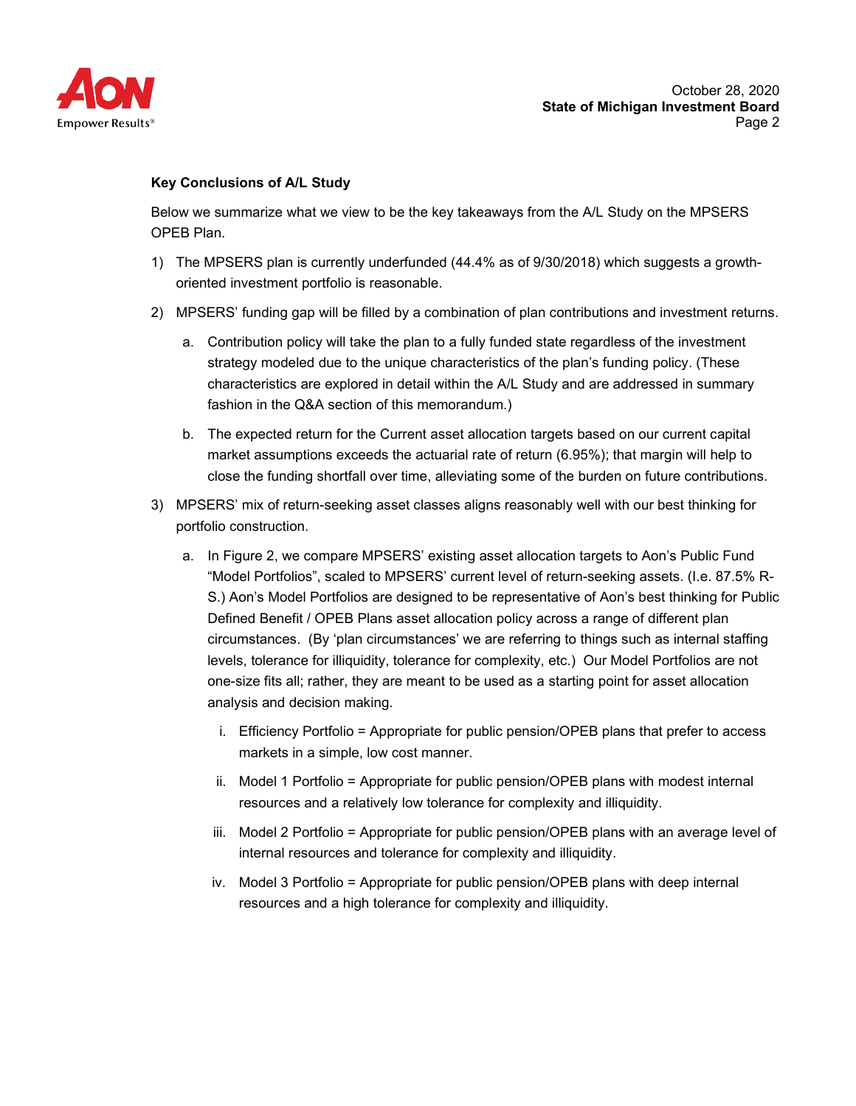

#### **Key Conclusions of A/L Study**

Below we summarize what we view to be the key takeaways from the A/L Study on the MPSERS OPEB Plan.

- 1) The MPSERS plan is currently underfunded (44.4% as of 9/30/2018) which suggests a growthoriented investment portfolio is reasonable.
- 2) MPSERS' funding gap will be filled by a combination of plan contributions and investment returns.
	- a. Contribution policy will take the plan to a fully funded state regardless of the investment strategy modeled due to the unique characteristics of the plan's funding policy. (These characteristics are explored in detail within the A/L Study and are addressed in summary fashion in the Q&A section of this memorandum.)
	- b. The expected return for the Current asset allocation targets based on our current capital market assumptions exceeds the actuarial rate of return (6.95%); that margin will help to close the funding shortfall over time, alleviating some of the burden on future contributions.
- 3) MPSERS' mix of return-seeking asset classes aligns reasonably well with our best thinking for portfolio construction.
	- a. In Figure 2, we compare MPSERS' existing asset allocation targets to Aon's Public Fund "Model Portfolios", scaled to MPSERS' current level of return-seeking assets. (I.e. 87.5% R-S.) Aon's Model Portfolios are designed to be representative of Aon's best thinking for Public Defined Benefit / OPEB Plans asset allocation policy across a range of different plan circumstances. (By 'plan circumstances' we are referring to things such as internal staffing levels, tolerance for illiquidity, tolerance for complexity, etc.) Our Model Portfolios are not one-size fits all; rather, they are meant to be used as a starting point for asset allocation analysis and decision making.
		- i. Efficiency Portfolio = Appropriate for public pension/OPEB plans that prefer to access markets in a simple, low cost manner.
		- ii. Model 1 Portfolio = Appropriate for public pension/OPEB plans with modest internal resources and a relatively low tolerance for complexity and illiquidity.
		- iii. Model 2 Portfolio = Appropriate for public pension/OPEB plans with an average level of internal resources and tolerance for complexity and illiquidity.
		- iv. Model 3 Portfolio = Appropriate for public pension/OPEB plans with deep internal resources and a high tolerance for complexity and illiquidity.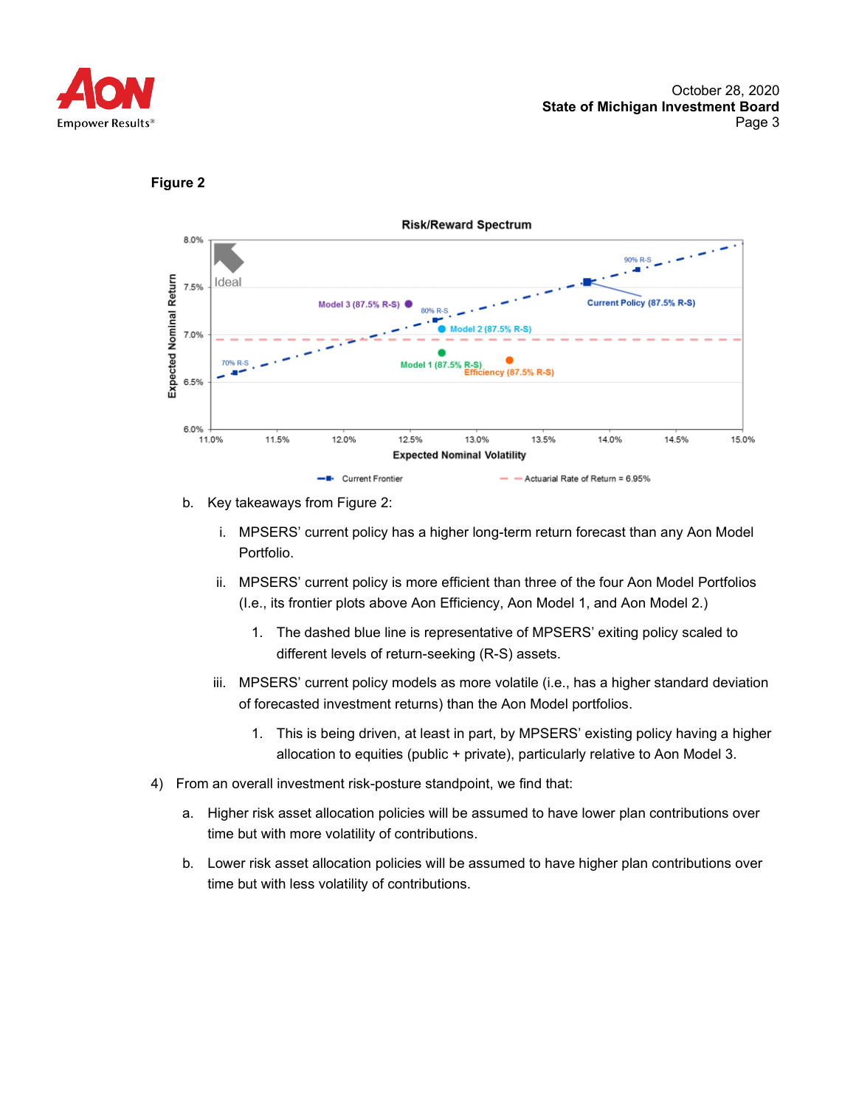

#### **Figure 2**



- b. Key takeaways from Figure 2:
	- i. MPSERS' current policy has a higher long-term return forecast than any Aon Model Portfolio.
	- ii. MPSERS' current policy is more efficient than three of the four Aon Model Portfolios (I.e., its frontier plots above Aon Efficiency, Aon Model 1, and Aon Model 2.)
		- 1. The dashed blue line is representative of MPSERS' exiting policy scaled to different levels of return-seeking (R-S) assets.
	- iii. MPSERS' current policy models as more volatile (i.e., has a higher standard deviation of forecasted investment returns) than the Aon Model portfolios.
		- 1. This is being driven, at least in part, by MPSERS' existing policy having a higher allocation to equities (public + private), particularly relative to Aon Model 3.
- 4) From an overall investment risk-posture standpoint, we find that:
	- a. Higher risk asset allocation policies will be assumed to have lower plan contributions over time but with more volatility of contributions.
	- b. Lower risk asset allocation policies will be assumed to have higher plan contributions over time but with less volatility of contributions.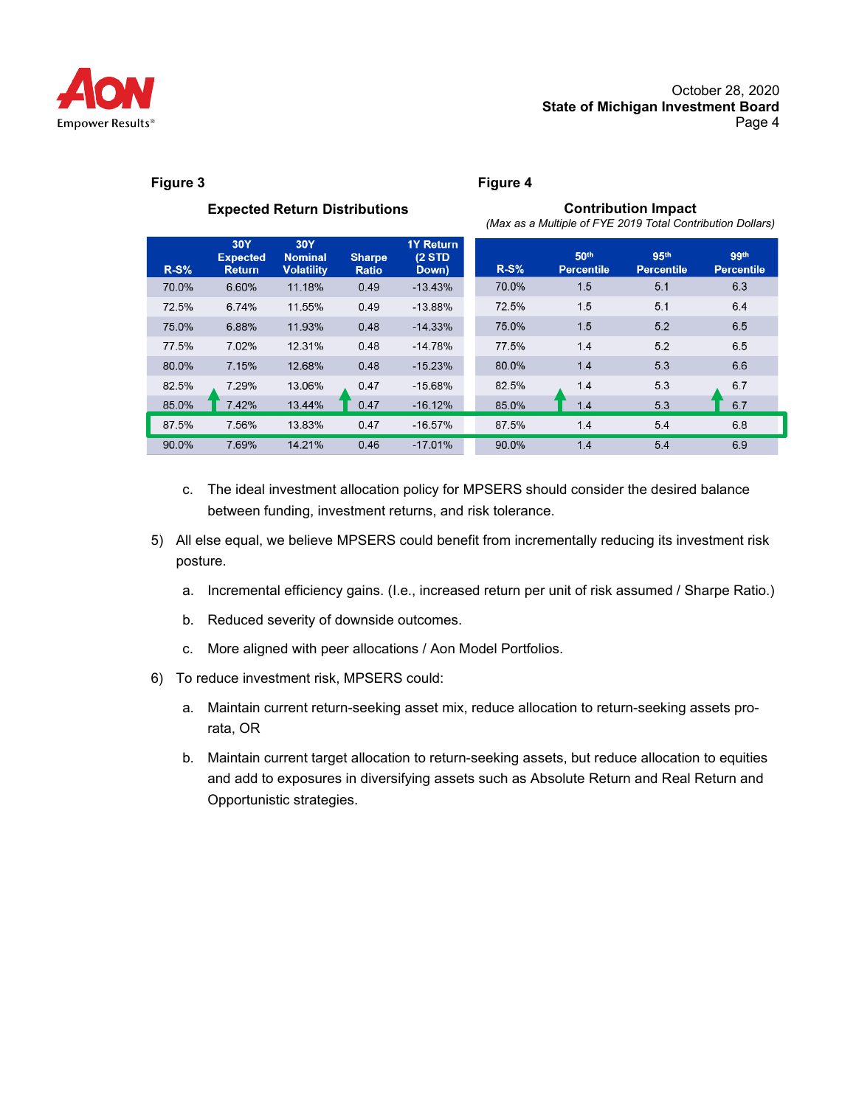

**Contribution Impact** 

#### **Figure 3 Figure 4**

|        | <b>Expected Return Distributions</b>    |                                            |                               |                                     |        | (Max as a Multiple of FYE 2019 Total Contribution Dollars) | <b>Contribution Impact</b>            |                           |
|--------|-----------------------------------------|--------------------------------------------|-------------------------------|-------------------------------------|--------|------------------------------------------------------------|---------------------------------------|---------------------------|
| $R-S%$ | 30Y<br><b>Expected</b><br><b>Return</b> | 30Y<br><b>Nominal</b><br><b>Volatility</b> | <b>Sharpe</b><br><b>Ratio</b> | <b>1Y Return</b><br>(2STD)<br>Down) | $R-S%$ | 50 <sup>th</sup><br><b>Percentile</b>                      | 95 <sup>th</sup><br><b>Percentile</b> | 99th<br><b>Percentile</b> |
| 70.0%  | 6.60%                                   | 11.18%                                     | 0.49                          | $-13.43%$                           | 70.0%  | 1.5                                                        | 5.1                                   | 6.3                       |
| 72.5%  | 6.74%                                   | 11.55%                                     | 0.49                          | $-13.88%$                           | 72.5%  | 1.5                                                        | 5.1                                   | 6.4                       |
| 75.0%  | 6.88%                                   | 11.93%                                     | 0.48                          | $-14.33%$                           | 75.0%  | 1.5                                                        | 5.2                                   | 6.5                       |
| 77.5%  | 7.02%                                   | 12.31%                                     | 0.48                          | $-14.78%$                           | 77.5%  | 1.4                                                        | 5.2                                   | 6.5                       |
| 80.0%  | 7.15%                                   | 12.68%                                     | 0.48                          | $-15.23%$                           | 80.0%  | 1.4                                                        | 5.3                                   | 6.6                       |
| 82.5%  | 7.29%                                   | 13.06%                                     | 0.47                          | $-15.68%$                           | 82.5%  | 1.4                                                        | 5.3                                   | 6.7                       |
| 85.0%  | 7.42%                                   | 13.44%                                     | 0.47                          | $-16.12%$                           | 85.0%  | 1.4                                                        | 5.3                                   | 6.7                       |
| 87.5%  | 7.56%                                   | 13.83%                                     | 0.47                          | $-16.57%$                           | 87.5%  | 1.4                                                        | 5.4                                   | 6.8                       |
| 90.0%  | 7.69%                                   | 14.21%                                     | 0.46                          | $-17.01%$                           | 90.0%  | 1.4                                                        | 5.4                                   | 6.9                       |

- c. The ideal investment allocation policy for MPSERS should consider the desired balance between funding, investment returns, and risk tolerance.
- 5) All else equal, we believe MPSERS could benefit from incrementally reducing its investment risk posture.
	- a. Incremental efficiency gains. (I.e., increased return per unit of risk assumed / Sharpe Ratio.)
	- b. Reduced severity of downside outcomes.
	- c. More aligned with peer allocations / Aon Model Portfolios.
- 6) To reduce investment risk, MPSERS could:
	- a. Maintain current return-seeking asset mix, reduce allocation to return-seeking assets prorata, OR
	- b. Maintain current target allocation to return-seeking assets, but reduce allocation to equities and add to exposures in diversifying assets such as Absolute Return and Real Return and Opportunistic strategies.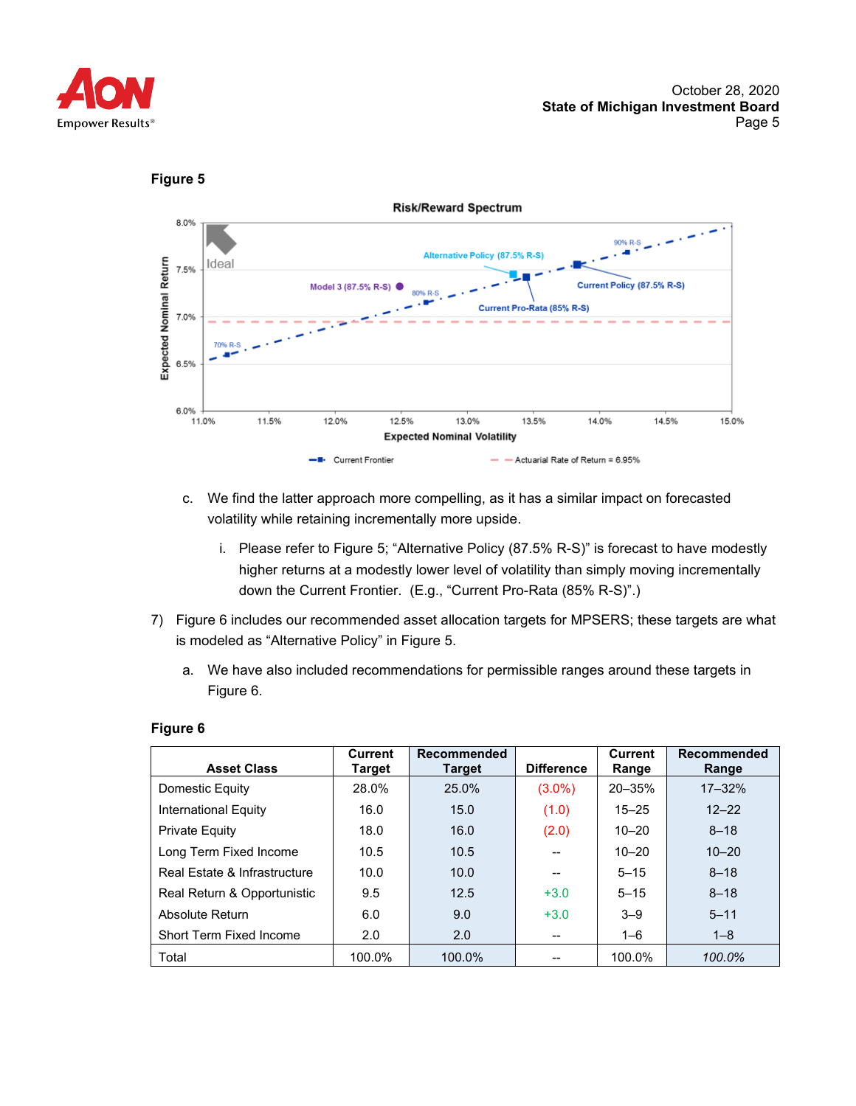





- c. We find the latter approach more compelling, as it has a similar impact on forecasted volatility while retaining incrementally more upside.
	- i. Please refer to Figure 5; "Alternative Policy (87.5% R-S)" is forecast to have modestly higher returns at a modestly lower level of volatility than simply moving incrementally down the Current Frontier. (E.g., "Current Pro-Rata (85% R-S)".)
- 7) Figure 6 includes our recommended asset allocation targets for MPSERS; these targets are what is modeled as "Alternative Policy" in Figure 5.
	- a. We have also included recommendations for permissible ranges around these targets in Figure 6.

| <b>Asset Class</b>           | <b>Current</b><br><b>Target</b> | Recommended<br><b>Target</b> | <b>Difference</b> | <b>Current</b><br>Range | <b>Recommended</b><br>Range |
|------------------------------|---------------------------------|------------------------------|-------------------|-------------------------|-----------------------------|
| Domestic Equity              | 28.0%                           | 25.0%                        | $(3.0\%)$         | $20 - 35%$              | $17 - 32%$                  |
| International Equity         | 16.0                            | 15.0                         | (1.0)             | $15 - 25$               | $12 - 22$                   |
| Private Equity               | 18.0                            | 16.0                         | (2.0)             | $10 - 20$               | $8 - 18$                    |
| Long Term Fixed Income       | 10.5                            | 10.5                         |                   | $10 - 20$               | $10 - 20$                   |
| Real Estate & Infrastructure | 10.0                            | 10.0                         |                   | $5 - 15$                | $8 - 18$                    |
| Real Return & Opportunistic  | 9.5                             | 12.5                         | $+3.0$            | $5 - 15$                | $8 - 18$                    |
| Absolute Return              | 6.0                             | 9.0                          | $+3.0$            | $3 - 9$                 | $5 - 11$                    |
| Short Term Fixed Income      | 2.0                             | 2.0                          | --                | $1 - 6$                 | $1 - 8$                     |
| Total                        | 100.0%                          | 100.0%                       |                   | 100.0%                  | 100.0%                      |

#### **Figure 6**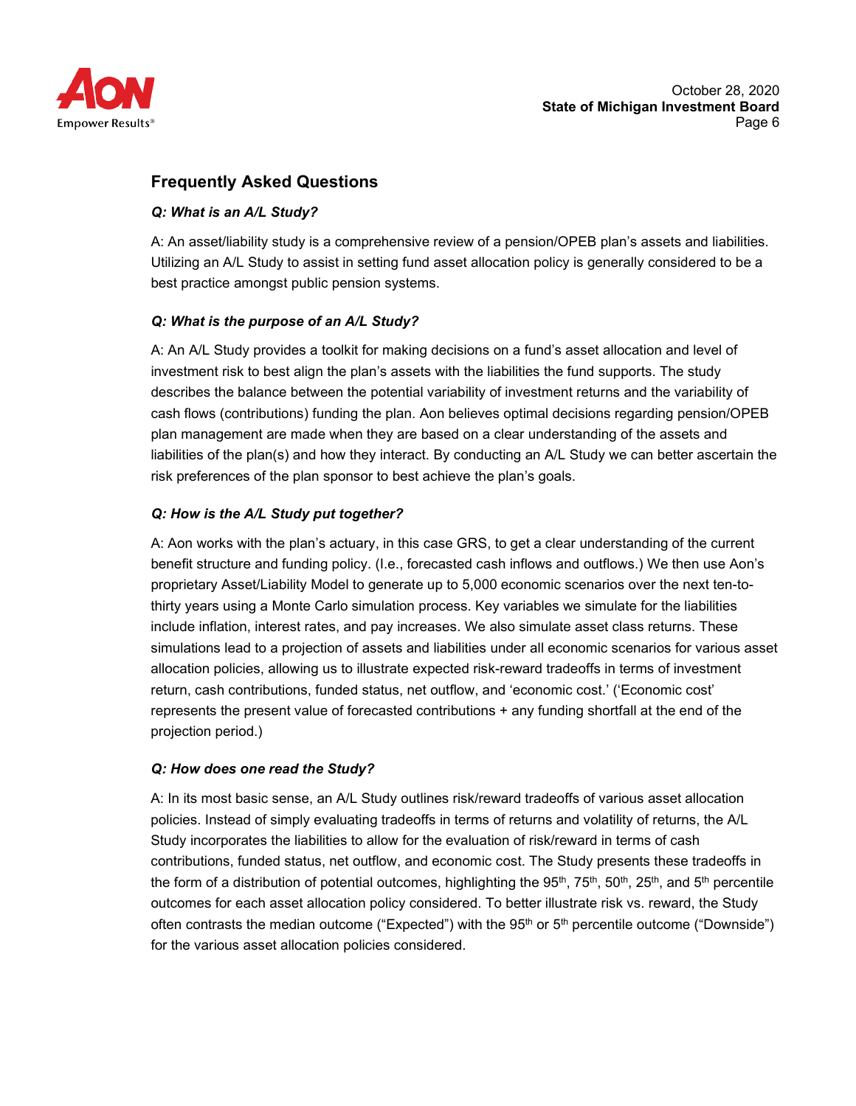

# **Frequently Asked Questions**

# *Q: What is an A/L Study?*

A: An asset/liability study is a comprehensive review of a pension/OPEB plan's assets and liabilities. Utilizing an A/L Study to assist in setting fund asset allocation policy is generally considered to be a best practice amongst public pension systems.

# *Q: What is the purpose of an A/L Study?*

A: An A/L Study provides a toolkit for making decisions on a fund's asset allocation and level of investment risk to best align the plan's assets with the liabilities the fund supports. The study describes the balance between the potential variability of investment returns and the variability of cash flows (contributions) funding the plan. Aon believes optimal decisions regarding pension/OPEB plan management are made when they are based on a clear understanding of the assets and liabilities of the plan(s) and how they interact. By conducting an A/L Study we can better ascertain the risk preferences of the plan sponsor to best achieve the plan's goals.

# *Q: How is the A/L Study put together?*

A: Aon works with the plan's actuary, in this case GRS, to get a clear understanding of the current benefit structure and funding policy. (I.e., forecasted cash inflows and outflows.) We then use Aon's proprietary Asset/Liability Model to generate up to 5,000 economic scenarios over the next ten-tothirty years using a Monte Carlo simulation process. Key variables we simulate for the liabilities include inflation, interest rates, and pay increases. We also simulate asset class returns. These simulations lead to a projection of assets and liabilities under all economic scenarios for various asset allocation policies, allowing us to illustrate expected risk-reward tradeoffs in terms of investment return, cash contributions, funded status, net outflow, and 'economic cost.' ('Economic cost' represents the present value of forecasted contributions + any funding shortfall at the end of the projection period.)

#### *Q: How does one read the Study?*

A: In its most basic sense, an A/L Study outlines risk/reward tradeoffs of various asset allocation policies. Instead of simply evaluating tradeoffs in terms of returns and volatility of returns, the A/L Study incorporates the liabilities to allow for the evaluation of risk/reward in terms of cash contributions, funded status, net outflow, and economic cost. The Study presents these tradeoffs in the form of a distribution of potential outcomes, highlighting the 95<sup>th</sup>, 75<sup>th</sup>, 50<sup>th</sup>, 25<sup>th</sup>, and 5<sup>th</sup> percentile outcomes for each asset allocation policy considered. To better illustrate risk vs. reward, the Study often contrasts the median outcome ("Expected") with the  $95<sup>th</sup>$  or  $5<sup>th</sup>$  percentile outcome ("Downside") for the various asset allocation policies considered.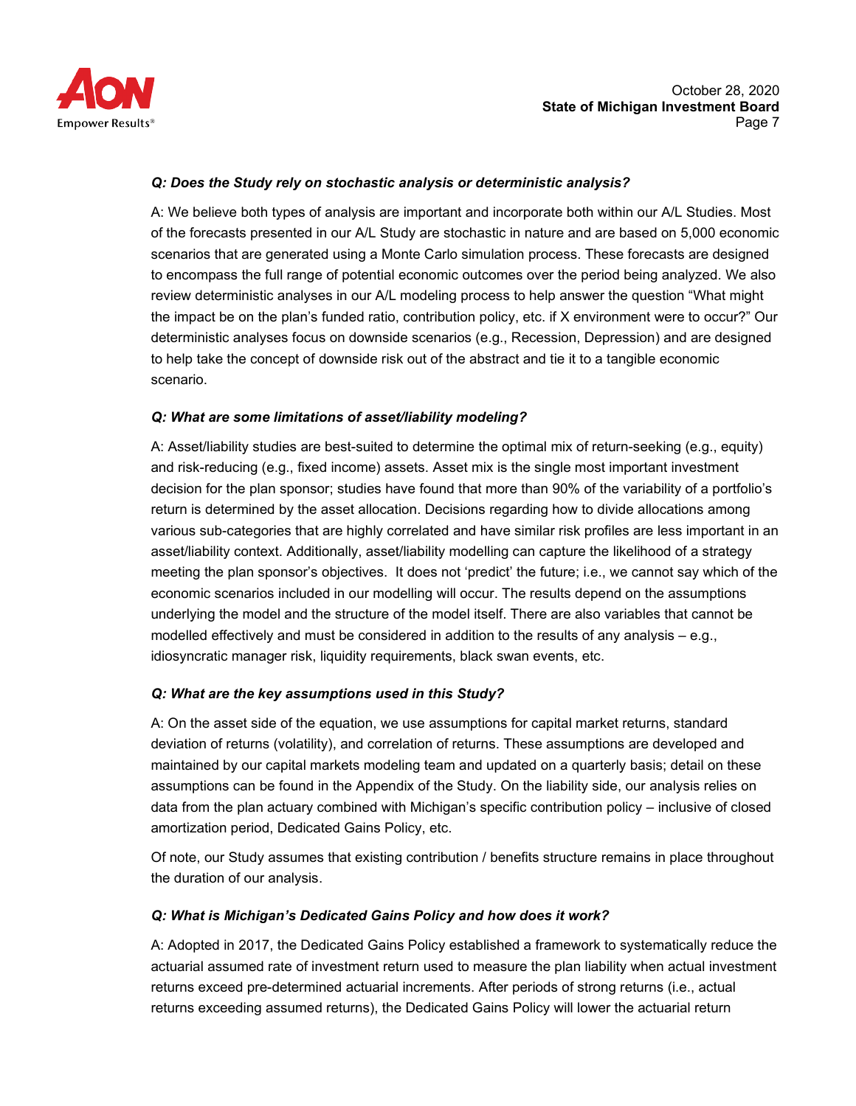

#### *Q: Does the Study rely on stochastic analysis or deterministic analysis?*

A: We believe both types of analysis are important and incorporate both within our A/L Studies. Most of the forecasts presented in our A/L Study are stochastic in nature and are based on 5,000 economic scenarios that are generated using a Monte Carlo simulation process. These forecasts are designed to encompass the full range of potential economic outcomes over the period being analyzed. We also review deterministic analyses in our A/L modeling process to help answer the question "What might the impact be on the plan's funded ratio, contribution policy, etc. if X environment were to occur?" Our deterministic analyses focus on downside scenarios (e.g., Recession, Depression) and are designed to help take the concept of downside risk out of the abstract and tie it to a tangible economic scenario.

# *Q: What are some limitations of asset/liability modeling?*

A: Asset/liability studies are best-suited to determine the optimal mix of return-seeking (e.g., equity) and risk-reducing (e.g., fixed income) assets. Asset mix is the single most important investment decision for the plan sponsor; studies have found that more than 90% of the variability of a portfolio's return is determined by the asset allocation. Decisions regarding how to divide allocations among various sub-categories that are highly correlated and have similar risk profiles are less important in an asset/liability context. Additionally, asset/liability modelling can capture the likelihood of a strategy meeting the plan sponsor's objectives. It does not 'predict' the future; i.e., we cannot say which of the economic scenarios included in our modelling will occur. The results depend on the assumptions underlying the model and the structure of the model itself. There are also variables that cannot be modelled effectively and must be considered in addition to the results of any analysis – e.g., idiosyncratic manager risk, liquidity requirements, black swan events, etc.

# *Q: What are the key assumptions used in this Study?*

A: On the asset side of the equation, we use assumptions for capital market returns, standard deviation of returns (volatility), and correlation of returns. These assumptions are developed and maintained by our capital markets modeling team and updated on a quarterly basis; detail on these assumptions can be found in the Appendix of the Study. On the liability side, our analysis relies on data from the plan actuary combined with Michigan's specific contribution policy – inclusive of closed amortization period, Dedicated Gains Policy, etc.

Of note, our Study assumes that existing contribution / benefits structure remains in place throughout the duration of our analysis.

#### *Q: What is Michigan's Dedicated Gains Policy and how does it work?*

A: Adopted in 2017, the Dedicated Gains Policy established a framework to systematically reduce the actuarial assumed rate of investment return used to measure the plan liability when actual investment returns exceed pre-determined actuarial increments. After periods of strong returns (i.e., actual returns exceeding assumed returns), the Dedicated Gains Policy will lower the actuarial return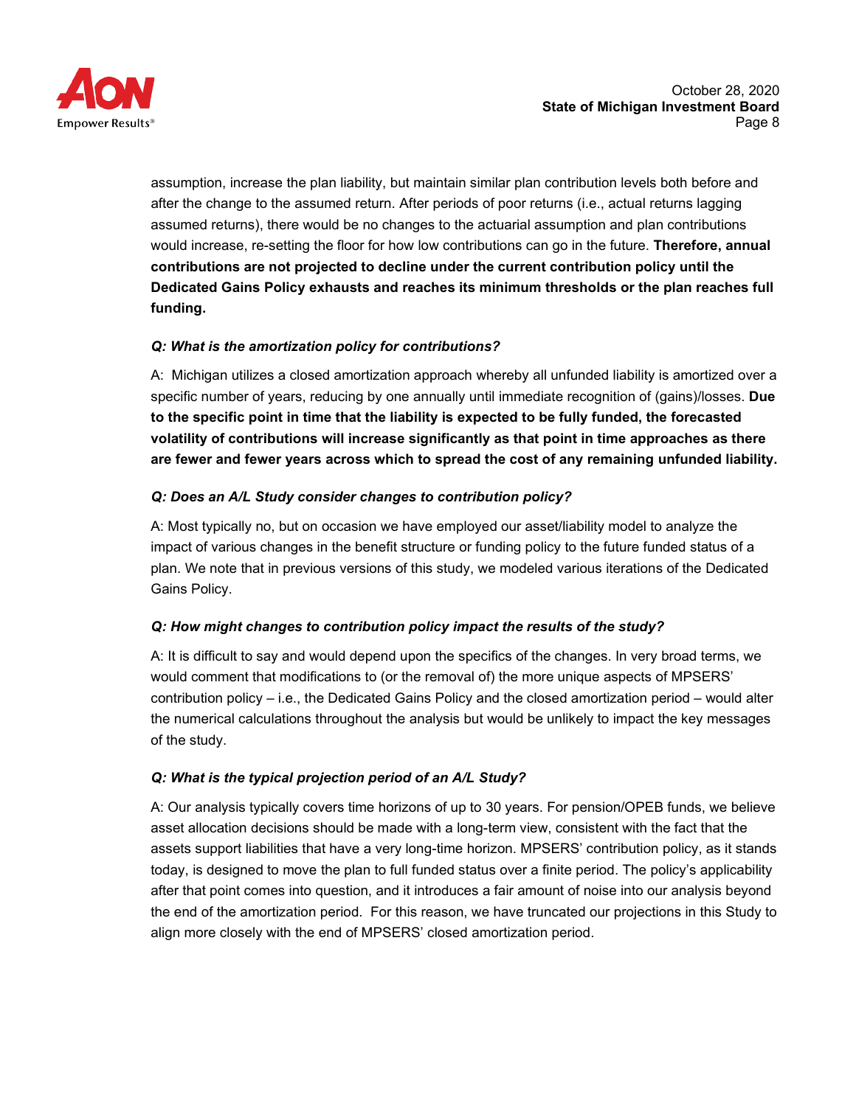

assumption, increase the plan liability, but maintain similar plan contribution levels both before and after the change to the assumed return. After periods of poor returns (i.e., actual returns lagging assumed returns), there would be no changes to the actuarial assumption and plan contributions would increase, re-setting the floor for how low contributions can go in the future. **Therefore, annual contributions are not projected to decline under the current contribution policy until the Dedicated Gains Policy exhausts and reaches its minimum thresholds or the plan reaches full funding.**

# *Q: What is the amortization policy for contributions?*

A: Michigan utilizes a closed amortization approach whereby all unfunded liability is amortized over a specific number of years, reducing by one annually until immediate recognition of (gains)/losses. **Due to the specific point in time that the liability is expected to be fully funded, the forecasted volatility of contributions will increase significantly as that point in time approaches as there are fewer and fewer years across which to spread the cost of any remaining unfunded liability.**

# *Q: Does an A/L Study consider changes to contribution policy?*

A: Most typically no, but on occasion we have employed our asset/liability model to analyze the impact of various changes in the benefit structure or funding policy to the future funded status of a plan. We note that in previous versions of this study, we modeled various iterations of the Dedicated Gains Policy.

# *Q: How might changes to contribution policy impact the results of the study?*

A: It is difficult to say and would depend upon the specifics of the changes. In very broad terms, we would comment that modifications to (or the removal of) the more unique aspects of MPSERS' contribution policy – i.e., the Dedicated Gains Policy and the closed amortization period – would alter the numerical calculations throughout the analysis but would be unlikely to impact the key messages of the study.

# *Q: What is the typical projection period of an A/L Study?*

A: Our analysis typically covers time horizons of up to 30 years. For pension/OPEB funds, we believe asset allocation decisions should be made with a long-term view, consistent with the fact that the assets support liabilities that have a very long-time horizon. MPSERS' contribution policy, as it stands today, is designed to move the plan to full funded status over a finite period. The policy's applicability after that point comes into question, and it introduces a fair amount of noise into our analysis beyond the end of the amortization period. For this reason, we have truncated our projections in this Study to align more closely with the end of MPSERS' closed amortization period.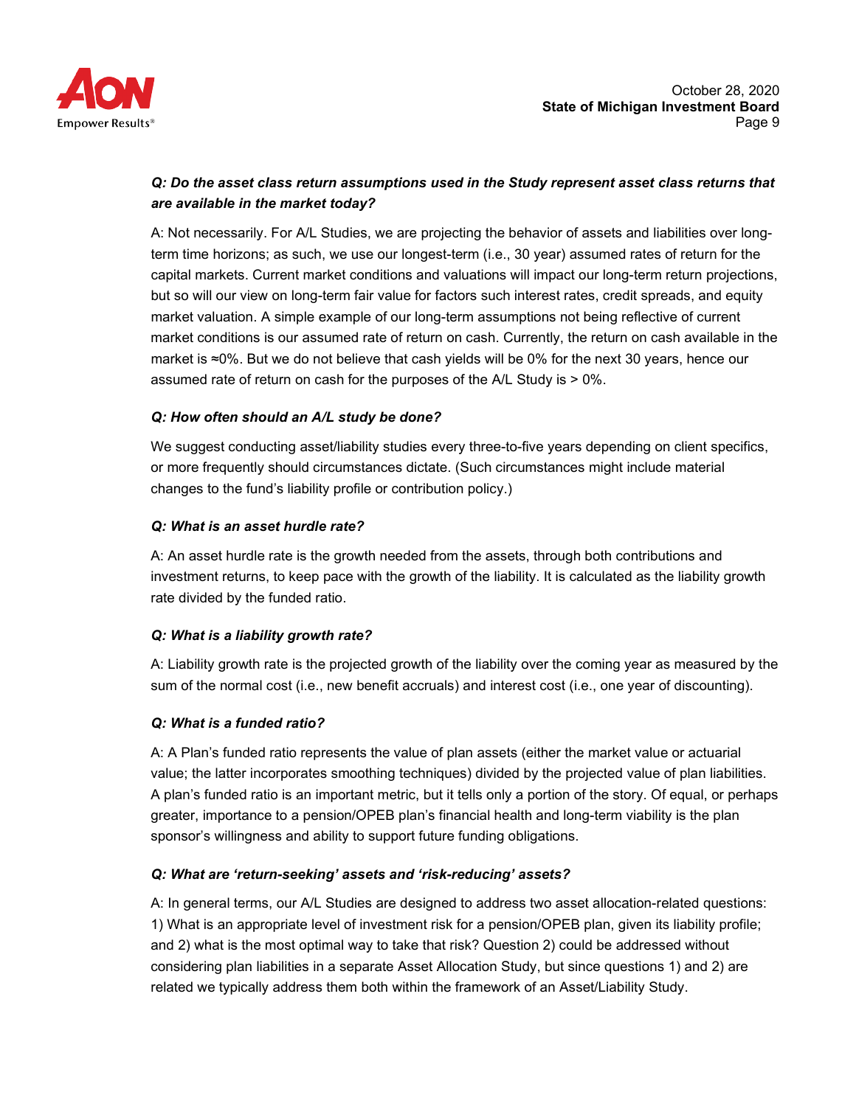

# *Q: Do the asset class return assumptions used in the Study represent asset class returns that are available in the market today?*

A: Not necessarily. For A/L Studies, we are projecting the behavior of assets and liabilities over longterm time horizons; as such, we use our longest-term (i.e., 30 year) assumed rates of return for the capital markets. Current market conditions and valuations will impact our long-term return projections, but so will our view on long-term fair value for factors such interest rates, credit spreads, and equity market valuation. A simple example of our long-term assumptions not being reflective of current market conditions is our assumed rate of return on cash. Currently, the return on cash available in the market is ≈0%. But we do not believe that cash yields will be 0% for the next 30 years, hence our assumed rate of return on cash for the purposes of the A/L Study is > 0%.

# *Q: How often should an A/L study be done?*

We suggest conducting asset/liability studies every three-to-five years depending on client specifics, or more frequently should circumstances dictate. (Such circumstances might include material changes to the fund's liability profile or contribution policy.)

# *Q: What is an asset hurdle rate?*

A: An asset hurdle rate is the growth needed from the assets, through both contributions and investment returns, to keep pace with the growth of the liability. It is calculated as the liability growth rate divided by the funded ratio.

# *Q: What is a liability growth rate?*

A: Liability growth rate is the projected growth of the liability over the coming year as measured by the sum of the normal cost (i.e., new benefit accruals) and interest cost (i.e., one year of discounting).

# *Q: What is a funded ratio?*

A: A Plan's funded ratio represents the value of plan assets (either the market value or actuarial value; the latter incorporates smoothing techniques) divided by the projected value of plan liabilities. A plan's funded ratio is an important metric, but it tells only a portion of the story. Of equal, or perhaps greater, importance to a pension/OPEB plan's financial health and long-term viability is the plan sponsor's willingness and ability to support future funding obligations.

# *Q: What are 'return-seeking' assets and 'risk-reducing' assets?*

A: In general terms, our A/L Studies are designed to address two asset allocation-related questions: 1) What is an appropriate level of investment risk for a pension/OPEB plan, given its liability profile; and 2) what is the most optimal way to take that risk? Question 2) could be addressed without considering plan liabilities in a separate Asset Allocation Study, but since questions 1) and 2) are related we typically address them both within the framework of an Asset/Liability Study.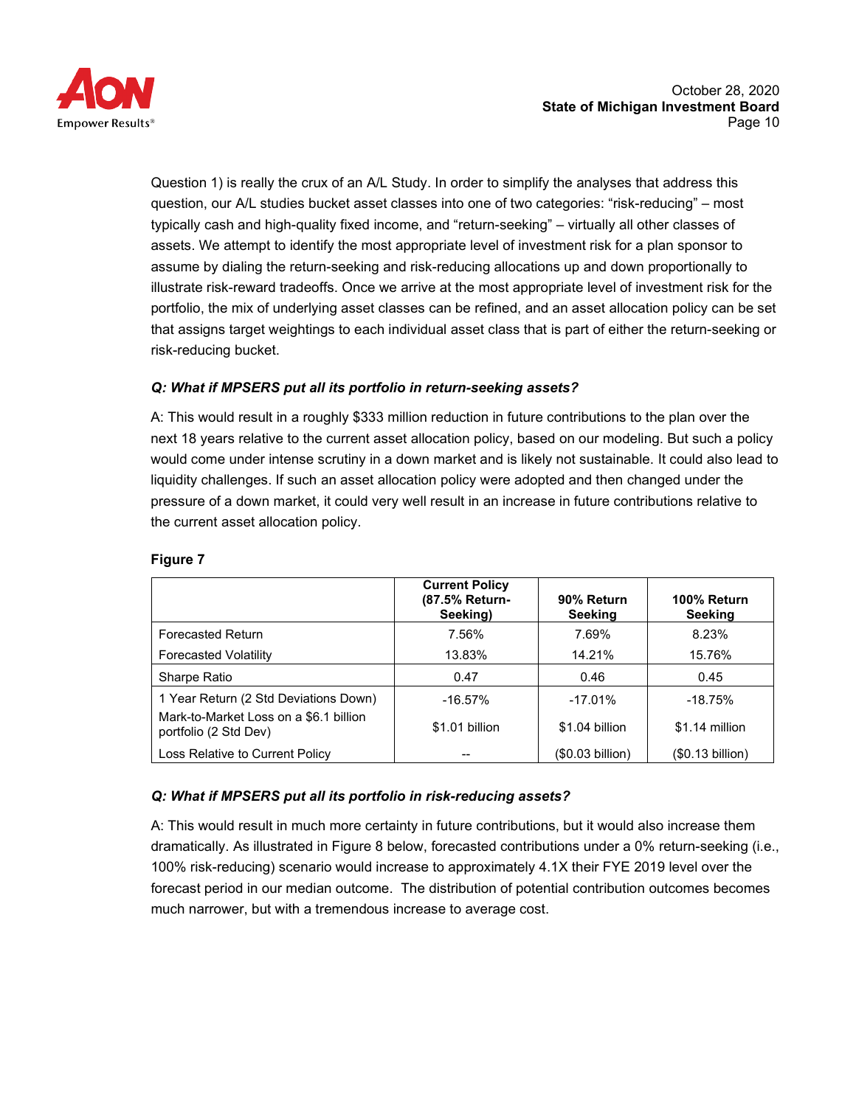

Question 1) is really the crux of an A/L Study. In order to simplify the analyses that address this question, our A/L studies bucket asset classes into one of two categories: "risk-reducing" – most typically cash and high-quality fixed income, and "return-seeking" – virtually all other classes of assets. We attempt to identify the most appropriate level of investment risk for a plan sponsor to assume by dialing the return-seeking and risk-reducing allocations up and down proportionally to illustrate risk-reward tradeoffs. Once we arrive at the most appropriate level of investment risk for the portfolio, the mix of underlying asset classes can be refined, and an asset allocation policy can be set that assigns target weightings to each individual asset class that is part of either the return-seeking or risk-reducing bucket.

# *Q: What if MPSERS put all its portfolio in return-seeking assets?*

A: This would result in a roughly \$333 million reduction in future contributions to the plan over the next 18 years relative to the current asset allocation policy, based on our modeling. But such a policy would come under intense scrutiny in a down market and is likely not sustainable. It could also lead to liquidity challenges. If such an asset allocation policy were adopted and then changed under the pressure of a down market, it could very well result in an increase in future contributions relative to the current asset allocation policy.

|                                                                 | <b>Current Policy</b><br>(87.5% Return-<br>Seeking) | 90% Return<br><b>Seeking</b> | 100% Return<br>Seeking |
|-----------------------------------------------------------------|-----------------------------------------------------|------------------------------|------------------------|
| <b>Forecasted Return</b>                                        | 7.56%                                               | 7.69%                        | 8.23%                  |
| <b>Forecasted Volatility</b>                                    | 13.83%                                              | 14.21%                       | 15.76%                 |
| Sharpe Ratio                                                    | 0.47                                                | 0.46                         | 0.45                   |
| 1 Year Return (2 Std Deviations Down)                           | $-16.57%$                                           | $-17.01%$                    | $-18.75%$              |
| Mark-to-Market Loss on a \$6.1 billion<br>portfolio (2 Std Dev) | \$1.01 billion                                      | \$1.04 billion               | \$1.14 million         |
| Loss Relative to Current Policy                                 |                                                     | (\$0.03 billion)             | (\$0.13 billion)       |

#### **Figure 7**

#### *Q: What if MPSERS put all its portfolio in risk-reducing assets?*

A: This would result in much more certainty in future contributions, but it would also increase them dramatically. As illustrated in Figure 8 below, forecasted contributions under a 0% return-seeking (i.e., 100% risk-reducing) scenario would increase to approximately 4.1X their FYE 2019 level over the forecast period in our median outcome. The distribution of potential contribution outcomes becomes much narrower, but with a tremendous increase to average cost.